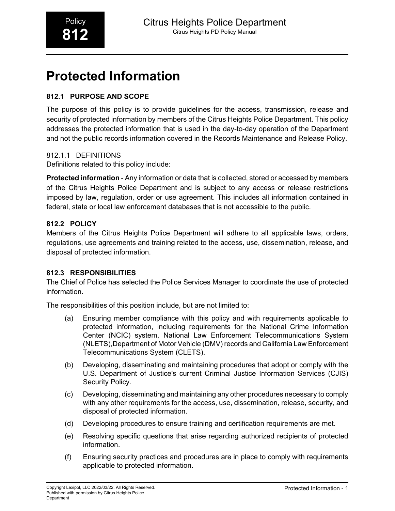## **Protected Information**

#### **812.1 PURPOSE AND SCOPE**

The purpose of this policy is to provide guidelines for the access, transmission, release and security of protected information by members of the Citrus Heights Police Department. This policy addresses the protected information that is used in the day-to-day operation of the Department and not the public records information covered in the Records Maintenance and Release Policy.

#### 812.1.1 DEFINITIONS

Definitions related to this policy include:

**Protected information** - Any information or data that is collected, stored or accessed by members of the Citrus Heights Police Department and is subject to any access or release restrictions imposed by law, regulation, order or use agreement. This includes all information contained in federal, state or local law enforcement databases that is not accessible to the public.

#### **812.2 POLICY**

Members of the Citrus Heights Police Department will adhere to all applicable laws, orders, regulations, use agreements and training related to the access, use, dissemination, release, and disposal of protected information.

#### **812.3 RESPONSIBILITIES**

The Chief of Police has selected the Police Services Manager to coordinate the use of protected information.

The responsibilities of this position include, but are not limited to:

- (a) Ensuring member compliance with this policy and with requirements applicable to protected information, including requirements for the National Crime Information Center (NCIC) system, National Law Enforcement Telecommunications System (NLETS),Department of Motor Vehicle (DMV) records and California Law Enforcement Telecommunications System (CLETS).
- (b) Developing, disseminating and maintaining procedures that adopt or comply with the U.S. Department of Justice's current Criminal Justice Information Services (CJIS) Security Policy.
- (c) Developing, disseminating and maintaining any other procedures necessary to comply with any other requirements for the access, use, dissemination, release, security, and disposal of protected information.
- (d) Developing procedures to ensure training and certification requirements are met.
- (e) Resolving specific questions that arise regarding authorized recipients of protected information.
- (f) Ensuring security practices and procedures are in place to comply with requirements applicable to protected information.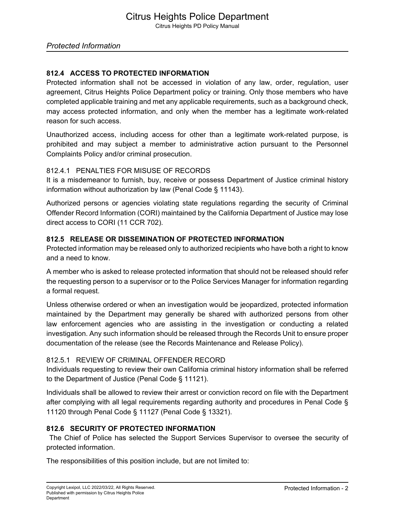#### *Protected Information*

#### **812.4 ACCESS TO PROTECTED INFORMATION**

Protected information shall not be accessed in violation of any law, order, regulation, user agreement, Citrus Heights Police Department policy or training. Only those members who have completed applicable training and met any applicable requirements, such as a background check, may access protected information, and only when the member has a legitimate work-related reason for such access.

Unauthorized access, including access for other than a legitimate work-related purpose, is prohibited and may subject a member to administrative action pursuant to the Personnel Complaints Policy and/or criminal prosecution.

#### 812.4.1 PENALTIES FOR MISUSE OF RECORDS

It is a misdemeanor to furnish, buy, receive or possess Department of Justice criminal history information without authorization by law (Penal Code § 11143).

Authorized persons or agencies violating state regulations regarding the security of Criminal Offender Record Information (CORI) maintained by the California Department of Justice may lose direct access to CORI (11 CCR 702).

#### **812.5 RELEASE OR DISSEMINATION OF PROTECTED INFORMATION**

Protected information may be released only to authorized recipients who have both a right to know and a need to know.

A member who is asked to release protected information that should not be released should refer the requesting person to a supervisor or to the Police Services Manager for information regarding a formal request.

Unless otherwise ordered or when an investigation would be jeopardized, protected information maintained by the Department may generally be shared with authorized persons from other law enforcement agencies who are assisting in the investigation or conducting a related investigation. Any such information should be released through the Records Unit to ensure proper documentation of the release (see the Records Maintenance and Release Policy).

#### 812.5.1 REVIEW OF CRIMINAL OFFENDER RECORD

Individuals requesting to review their own California criminal history information shall be referred to the Department of Justice (Penal Code § 11121).

Individuals shall be allowed to review their arrest or conviction record on file with the Department after complying with all legal requirements regarding authority and procedures in Penal Code § 11120 through Penal Code § 11127 (Penal Code § 13321).

#### **812.6 SECURITY OF PROTECTED INFORMATION**

The Chief of Police has selected the Support Services Supervisor to oversee the security of protected information.

The responsibilities of this position include, but are not limited to: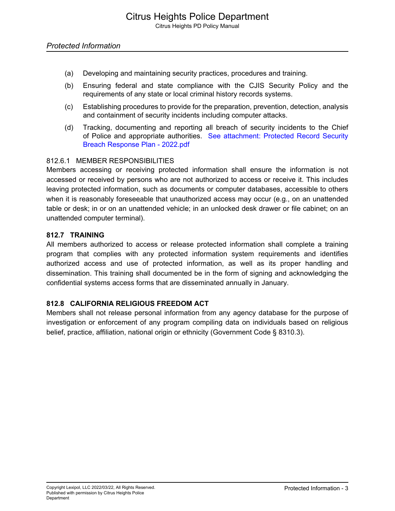#### *Protected Information*

- (a) Developing and maintaining security practices, procedures and training.
- (b) Ensuring federal and state compliance with the CJIS Security Policy and the requirements of any state or local criminal history records systems.
- (c) Establishing procedures to provide for the preparation, prevention, detection, analysis and containment of security incidents including computer attacks.
- (d) Tracking, documenting and reporting all breach of security incidents to the Chief of Police and appropriate authorities. See attachment: Protected Record Security Breach Response Plan - 2022.pdf

#### 812.6.1 MEMBER RESPONSIBILITIES

Members accessing or receiving protected information shall ensure the information is not accessed or received by persons who are not authorized to access or receive it. This includes leaving protected information, such as documents or computer databases, accessible to others when it is reasonably foreseeable that unauthorized access may occur (e.g., on an unattended table or desk; in or on an unattended vehicle; in an unlocked desk drawer or file cabinet; on an unattended computer terminal).

#### **812.7 TRAINING**

All members authorized to access or release protected information shall complete a training program that complies with any protected information system requirements and identifies authorized access and use of protected information, as well as its proper handling and dissemination. This training shall documented be in the form of signing and acknowledging the confidential systems access forms that are disseminated annually in January.

#### **812.8 CALIFORNIA RELIGIOUS FREEDOM ACT**

Members shall not release personal information from any agency database for the purpose of investigation or enforcement of any program compiling data on individuals based on religious belief, practice, affiliation, national origin or ethnicity (Government Code § 8310.3).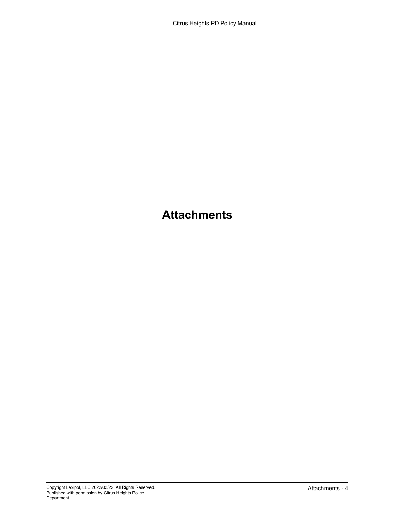## **Attachments**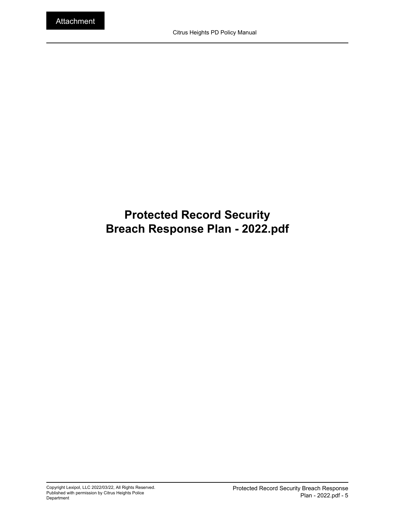## **Protected Record Security Breach Response Plan - 2022.pdf**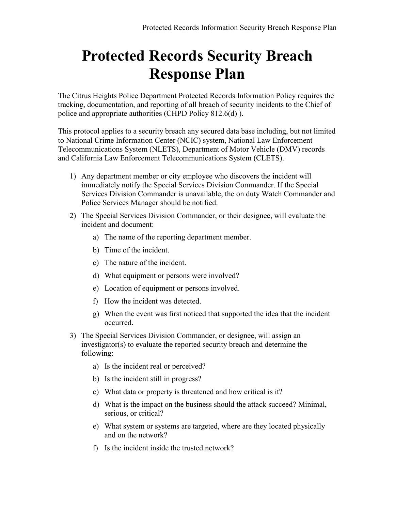# **Protected Records Security Breach Response Plan**

The Citrus Heights Police Department Protected Records Information Policy requires the tracking, documentation, and reporting of all breach of security incidents to the Chief of police and appropriate authorities (CHPD Policy 812.6(d) ).

This protocol applies to a security breach any secured data base including, but not limited to National Crime Information Center (NCIC) system, National Law Enforcement Telecommunications System (NLETS), Department of Motor Vehicle (DMV) records and California Law Enforcement Telecommunications System (CLETS).

- 1) Any department member or city employee who discovers the incident will immediately notify the Special Services Division Commander. If the Special Services Division Commander is unavailable, the on duty Watch Commander and Police Services Manager should be notified.
- 2) The Special Services Division Commander, or their designee, will evaluate the incident and document:
	- a) The name of the reporting department member.
	- b) Time of the incident.
	- c) The nature of the incident.
	- d) What equipment or persons were involved?
	- e) Location of equipment or persons involved.
	- f) How the incident was detected.
	- g) When the event was first noticed that supported the idea that the incident occurred.
- 3) The Special Services Division Commander, or designee, will assign an investigator(s) to evaluate the reported security breach and determine the following:
	- a) Is the incident real or perceived?
	- b) Is the incident still in progress?
	- c) What data or property is threatened and how critical is it?
	- d) What is the impact on the business should the attack succeed? Minimal, serious, or critical?
	- e) What system or systems are targeted, where are they located physically and on the network?
	- f) Is the incident inside the trusted network?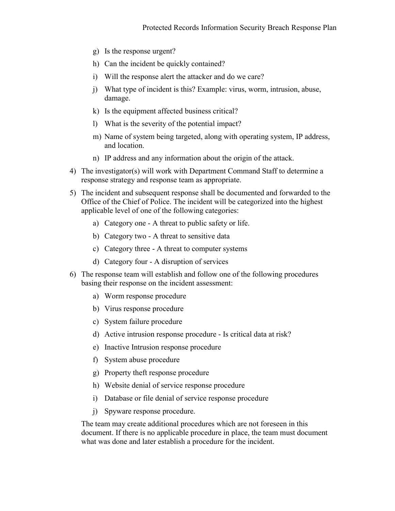- g) Is the response urgent?
- h) Can the incident be quickly contained?
- i) Will the response alert the attacker and do we care?
- j) What type of incident is this? Example: virus, worm, intrusion, abuse, damage.
- k) Is the equipment affected business critical?
- l) What is the severity of the potential impact?
- m) Name of system being targeted, along with operating system, IP address, and location.
- n) IP address and any information about the origin of the attack.
- 4) The investigator(s) will work with Department Command Staff to determine a response strategy and response team as appropriate.
- 5) The incident and subsequent response shall be documented and forwarded to the Office of the Chief of Police. The incident will be categorized into the highest applicable level of one of the following categories:
	- a) Category one A threat to public safety or life.
	- b) Category two A threat to sensitive data
	- c) Category three A threat to computer systems
	- d) Category four A disruption of services
- 6) The response team will establish and follow one of the following procedures basing their response on the incident assessment:
	- a) Worm response procedure
	- b) Virus response procedure
	- c) System failure procedure
	- d) Active intrusion response procedure Is critical data at risk?
	- e) Inactive Intrusion response procedure
	- f) System abuse procedure
	- g) Property theft response procedure
	- h) Website denial of service response procedure
	- i) Database or file denial of service response procedure
	- j) Spyware response procedure.

The team may create additional procedures which are not foreseen in this document. If there is no applicable procedure in place, the team must document what was done and later establish a procedure for the incident.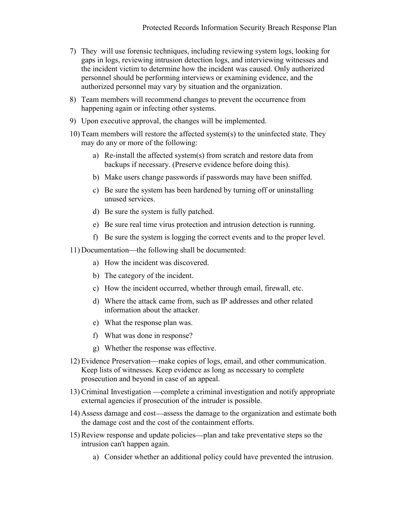- 7) They will use forensic techniques, including reviewing system logs, looking for gaps in logs, reviewing intrusion detection logs, and interviewing witnesses and the incident victim to determine how the incident was caused. Only authorized personnel should be performing interviews or examining evidence, and the authorized personnel may vary by situation and the organization.
- 8) Team members will recommend changes to prevent the occurrence from happening again or infecting other systems.
- 9) Upon executive approval, the changes will be implemented.
- 10) Team members will restore the affected system(s) to the uninfected state. They may do any or more of the following:
	- a) Re-install the affected system(s) from scratch and restore data from backups if necessary. (Preserve evidence before doing this).
	- b) Make users change passwords if passwords may have been sniffed.
	- c) Be sure the system has been hardened by turning off or uninstalling unused services.
	- d) Be sure the system is fully patched.
	- e) Be sure real time virus protection and intrusion detection is running.
	- f) Be sure the system is logging the correct events and to the proper level.
- 11) Documentation—the following shall be documented:
	- a) How the incident was discovered.
	- b) The category of the incident.
	- c) How the incident occurred, whether through email, firewall, etc.
	- d) Where the attack came from, such as IP addresses and other related information about the attacker.
	- e) What the response plan was.
	- f) What was done in response?
	- g) Whether the response was effective.
- 12) Evidence Preservation—make copies of logs, email, and other communication. Keep lists of witnesses. Keep evidence as long as necessary to complete prosecution and beyond in case of an appeal.
- 13) Criminal Investigation complete a criminal investigation and notify appropriate external agencies if prosecution of the intruder is possible.
- 14) Assess damage and cost—assess the damage to the organization and estimate both the damage cost and the cost of the containment efforts.
- 15) Review response and update policies—plan and take preventative steps so the intrusion can't happen again.
	- a) Consider whether an additional policy could have prevented the intrusion.